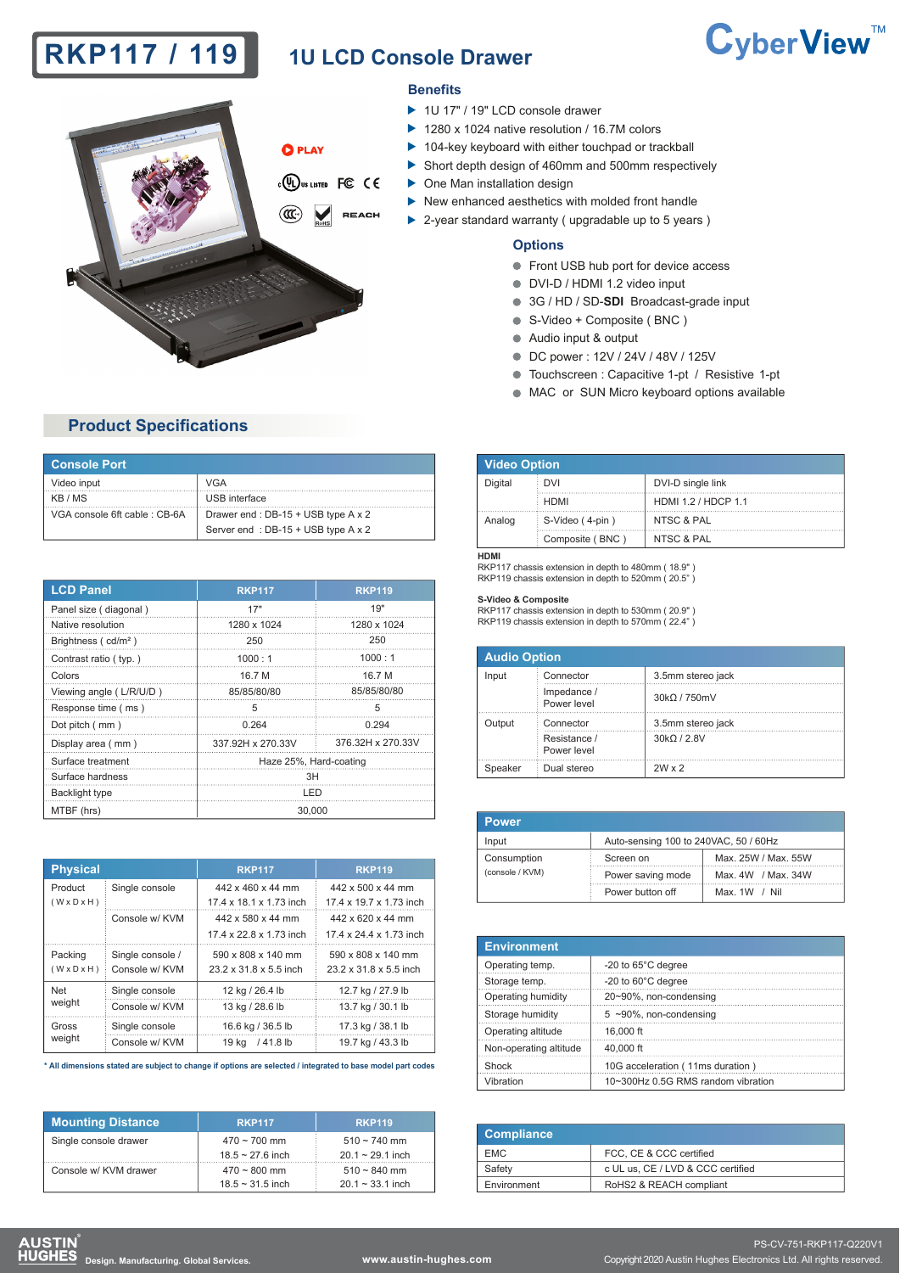# **RKP117 / 119** 1U LCD Console Drawer

# CyberView<sup>™</sup>



#### **Benefits**

- ▶ 1U 17" / 19" LCD console drawer
- ▶ 1280 x 1024 native resolution / 16.7M colors
- ▶ 104-key keyboard with either touchpad or trackball
- Short depth design of 460mm and 500mm respectively
- One Man installation design
- $\blacktriangleright$  New enhanced aesthetics with molded front handle
- ▶ 2-year standard warranty ( upgradable up to 5 years )

#### **Options**

- **Front USB hub port for device access**
- DVI-D / HDMI 1.2 video input
- 3G / HD / SD-**SDI** Broadcast-grade input
- S-Video + Composite ( BNC )
- Audio input & output
- DC power : 12V / 24V / 48V / 125V
- Touchscreen : Capacitive 1-pt / Resistive 1-pt
- $\bullet$  MAC or SUN Micro keyboard options available

## **Product Specifications**

| <b>Console Port</b>          |                                    |  |  |
|------------------------------|------------------------------------|--|--|
| Video input                  | VGA                                |  |  |
| KB / MS                      | USB interface                      |  |  |
| VGA console 6ft cable: CB-6A | Drawer end: DB-15 + USB type A x 2 |  |  |
|                              | Server end: DB-15 + USB type A x 2 |  |  |

| <b>LCD Panel</b>                | <b>RKP117</b>          | <b>RKP119</b>     |  |
|---------------------------------|------------------------|-------------------|--|
| Panel size (diagonal)           | 17"                    | 19"               |  |
| Native resolution               | 1280 x 1024            | 1280 x 1024       |  |
| Brightness (cd/m <sup>2</sup> ) | 250                    | 250               |  |
| Contrast ratio (typ.)           | 1000:1                 | 1000:1            |  |
| Colors                          | 16.7 M                 | 16.7 M            |  |
| Viewing angle (L/R/U/D)         | 85/85/80/80            | 85/85/80/80       |  |
| Response time (ms)              | 5                      | 5                 |  |
| Dot pitch (mm)                  | 0.264                  | 0.294             |  |
| Display area (mm)               | 337.92H x 270.33V      | 376.32H x 270.33V |  |
| Surface treatment               | Haze 25%, Hard-coating |                   |  |
| Surface hardness                | 3H                     |                   |  |
| Backlight type                  | LED                    |                   |  |
| MTBF (hrs)                      | 30.000                 |                   |  |

| <b>Physical</b>                    |                                    | <b>RKP117</b>                                | <b>RKP119</b>                                |
|------------------------------------|------------------------------------|----------------------------------------------|----------------------------------------------|
| Product<br>$(W \times D \times H)$ | Single console                     | 442 x 460 x 44 mm<br>17 4 x 18 1 x 1 73 inch | 442 x 500 x 44 mm<br>17 4 x 19 7 x 1 73 inch |
|                                    | Console w/ KVM                     | 442 x 580 x 44 mm                            | 442 x 620 x 44 mm                            |
|                                    |                                    | 17 4 x 22 8 x 1 73 inch                      | 17 4 x 24 4 x 1 73 inch                      |
| Packing<br>$(W \times D \times H)$ | Single console /<br>Console w/ KVM | 590 x 808 x 140 mm<br>23.2 x 31.8 x 5.5 inch | 590 x 808 x 140 mm<br>23.2 x 31.8 x 5.5 inch |
| <b>Net</b>                         | Single console                     | 12 kg / 26.4 lb                              | 12.7 kg / 27.9 lb                            |
| weight                             | Console w/ KVM                     | 13 kg / 28.6 lb                              | 13.7 kg / 30.1 lb                            |
| Gross                              | Single console                     | 16.6 kg / 36.5 lb                            | 17.3 kg / 38.1 lb                            |
| weight                             | Console w/ KVM                     | $/41.8$ lb<br>19 kg                          | 19.7 kg / 43.3 lb                            |

**\* All dimensions stated are subject to change if options are selected / integrated to base model part codes**

| <b>Mounting Distance</b> | <b>RKP117</b>         | <b>RKP119</b>            |
|--------------------------|-----------------------|--------------------------|
| Single console drawer    | $470 \sim 700$ mm     | $510 \sim 740$ mm        |
|                          | $18.5 \sim 27.6$ inch | $20.1 \approx 29.1$ inch |
| Console w/ KVM drawer    | $470 \sim 800$ mm     | $510 \sim 840$ mm        |
|                          | $18.5 \sim 31.5$ inch | $20.1 \sim 33.1$ inch    |

| <b>Video Option</b> |                 |                            |  |  |
|---------------------|-----------------|----------------------------|--|--|
| Digital             | DVI             | DVI-D single link          |  |  |
|                     | <b>HDMI</b>     | <b>HDMI 1.2 / HDCP 1.1</b> |  |  |
| Analog              | S-Video (4-pin) | NTSC & PAL                 |  |  |
|                     | Composite (BNC) | NTSC & PAL                 |  |  |

#### **HDMI**

RKP117 chassis extension in depth to 480mm ( 18.9" ) RKP119 chassis extension in depth to 520mm ( 20.5")

#### **S-Video & Composite**

RKP117 chassis extension in depth to 530mm ( 20.9" ) RKP119 chassis extension in depth to 570mm ( 22.4" )

| <b>Audio Option</b> |                             |                   |  |
|---------------------|-----------------------------|-------------------|--|
| Input               | Connector                   | 3.5mm stereo jack |  |
|                     | Impedance /<br>Power level  | 30kQ / 750mV      |  |
| Output              | Connector                   | 3.5mm stereo jack |  |
|                     | Resistance /<br>Power level | 30kQ / 2.8V       |  |
| Speaker             | Dual stereo                 | $2W \times 2$     |  |

| <b>Power</b>    |                                       |                     |
|-----------------|---------------------------------------|---------------------|
| Input           | Auto-sensing 100 to 240VAC, 50 / 60Hz |                     |
| Consumption     | Screen on                             | Max. 25W / Max. 55W |
| (console / KVM) | Power saving mode                     | Max. 4W / Max. 34W  |
|                 | Power button off                      | Max. 1W / Nil       |

| <b>Environment</b>     |                                    |
|------------------------|------------------------------------|
| Operating temp.        | -20 to 65°C degree                 |
| Storage temp.          | -20 to 60°C degree                 |
| Operating humidity     | 20~90%, non-condensing             |
| Storage humidity       | $5$ ~90%, non-condensing           |
| Operating altitude     | 16,000 ft                          |
| Non-operating altitude | 40,000 ft                          |
| Shock                  | 10G acceleration (11ms duration)   |
| Vibration              | 10~300Hz 0.5G RMS random vibration |

| <b>Compliance</b> |                                   |
|-------------------|-----------------------------------|
| <b>EMC</b>        | FCC, CE & CCC certified           |
| Safety            | c UL us. CE / LVD & CCC certified |
| Environment       | RoHS2 & REACH compliant           |

**DESTIN**<br>**DESTIN** Design. Manufacturing. Global Services. **WWW.austin-hughes.com** Copyright 2020 Austin Hughes Electronics Ltd. All rights reserved.

PS-CV-751-RKP117-Q220V1